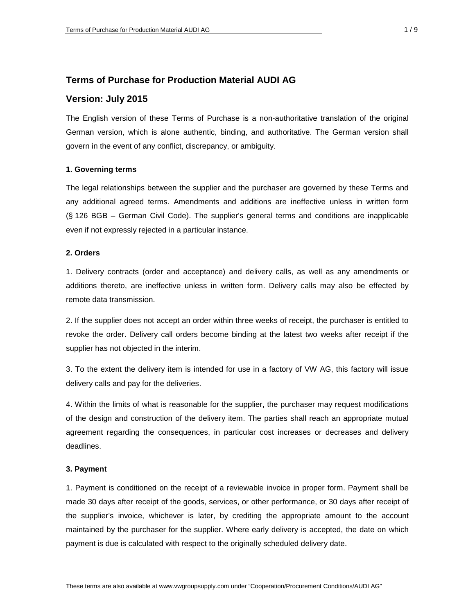# **Terms of Purchase for Production Material AUDI AG**

# **Version: July 2015**

The English version of these Terms of Purchase is a non-authoritative translation of the original German version, which is alone authentic, binding, and authoritative. The German version shall govern in the event of any conflict, discrepancy, or ambiguity.

### **1. Governing terms**

The legal relationships between the supplier and the purchaser are governed by these Terms and any additional agreed terms. Amendments and additions are ineffective unless in written form (§ 126 BGB – German Civil Code). The supplier's general terms and conditions are inapplicable even if not expressly rejected in a particular instance.

# **2. Orders**

1. Delivery contracts (order and acceptance) and delivery calls, as well as any amendments or additions thereto, are ineffective unless in written form. Delivery calls may also be effected by remote data transmission.

2. If the supplier does not accept an order within three weeks of receipt, the purchaser is entitled to revoke the order. Delivery call orders become binding at the latest two weeks after receipt if the supplier has not objected in the interim.

3. To the extent the delivery item is intended for use in a factory of VW AG, this factory will issue delivery calls and pay for the deliveries.

4. Within the limits of what is reasonable for the supplier, the purchaser may request modifications of the design and construction of the delivery item. The parties shall reach an appropriate mutual agreement regarding the consequences, in particular cost increases or decreases and delivery deadlines.

### **3. Payment**

1. Payment is conditioned on the receipt of a reviewable invoice in proper form. Payment shall be made 30 days after receipt of the goods, services, or other performance, or 30 days after receipt of the supplier's invoice, whichever is later, by crediting the appropriate amount to the account maintained by the purchaser for the supplier. Where early delivery is accepted, the date on which payment is due is calculated with respect to the originally scheduled delivery date.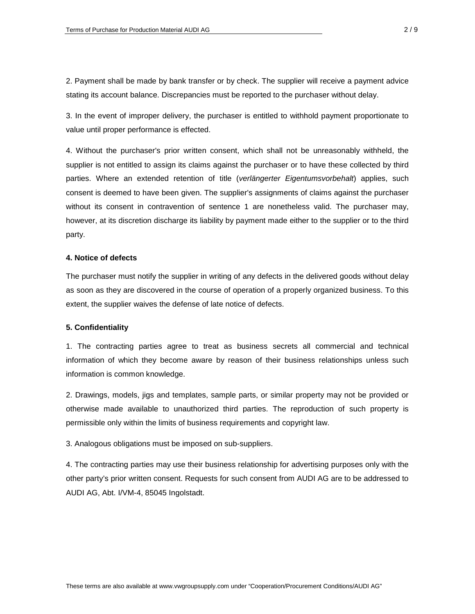2. Payment shall be made by bank transfer or by check. The supplier will receive a payment advice stating its account balance. Discrepancies must be reported to the purchaser without delay.

3. In the event of improper delivery, the purchaser is entitled to withhold payment proportionate to value until proper performance is effected.

4. Without the purchaser's prior written consent, which shall not be unreasonably withheld, the supplier is not entitled to assign its claims against the purchaser or to have these collected by third parties. Where an extended retention of title (*verlängerter Eigentumsvorbehalt*) applies, such consent is deemed to have been given. The supplier's assignments of claims against the purchaser without its consent in contravention of sentence 1 are nonetheless valid. The purchaser may, however, at its discretion discharge its liability by payment made either to the supplier or to the third party.

# **4. Notice of defects**

The purchaser must notify the supplier in writing of any defects in the delivered goods without delay as soon as they are discovered in the course of operation of a properly organized business. To this extent, the supplier waives the defense of late notice of defects.

### **5. Confidentiality**

1. The contracting parties agree to treat as business secrets all commercial and technical information of which they become aware by reason of their business relationships unless such information is common knowledge.

2. Drawings, models, jigs and templates, sample parts, or similar property may not be provided or otherwise made available to unauthorized third parties. The reproduction of such property is permissible only within the limits of business requirements and copyright law.

3. Analogous obligations must be imposed on sub-suppliers.

4. The contracting parties may use their business relationship for advertising purposes only with the other party's prior written consent. Requests for such consent from AUDI AG are to be addressed to AUDI AG, Abt. I/VM-4, 85045 Ingolstadt.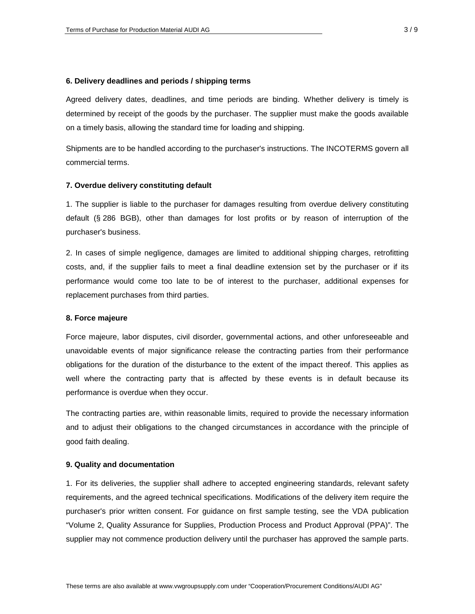### **6. Delivery deadlines and periods / shipping terms**

Agreed delivery dates, deadlines, and time periods are binding. Whether delivery is timely is determined by receipt of the goods by the purchaser. The supplier must make the goods available on a timely basis, allowing the standard time for loading and shipping.

Shipments are to be handled according to the purchaser's instructions. The INCOTERMS govern all commercial terms.

### **7. Overdue delivery constituting default**

1. The supplier is liable to the purchaser for damages resulting from overdue delivery constituting default (§ 286 BGB), other than damages for lost profits or by reason of interruption of the purchaser's business.

2. In cases of simple negligence, damages are limited to additional shipping charges, retrofitting costs, and, if the supplier fails to meet a final deadline extension set by the purchaser or if its performance would come too late to be of interest to the purchaser, additional expenses for replacement purchases from third parties.

#### **8. Force majeure**

Force majeure, labor disputes, civil disorder, governmental actions, and other unforeseeable and unavoidable events of major significance release the contracting parties from their performance obligations for the duration of the disturbance to the extent of the impact thereof. This applies as well where the contracting party that is affected by these events is in default because its performance is overdue when they occur.

The contracting parties are, within reasonable limits, required to provide the necessary information and to adjust their obligations to the changed circumstances in accordance with the principle of good faith dealing.

#### **9. Quality and documentation**

1. For its deliveries, the supplier shall adhere to accepted engineering standards, relevant safety requirements, and the agreed technical specifications. Modifications of the delivery item require the purchaser's prior written consent. For guidance on first sample testing, see the VDA publication "Volume 2, Quality Assurance for Supplies, Production Process and Product Approval (PPA)". The supplier may not commence production delivery until the purchaser has approved the sample parts.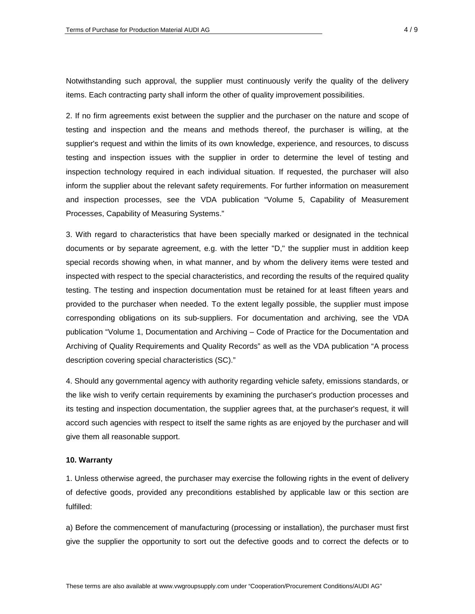Notwithstanding such approval, the supplier must continuously verify the quality of the delivery items. Each contracting party shall inform the other of quality improvement possibilities.

2. If no firm agreements exist between the supplier and the purchaser on the nature and scope of testing and inspection and the means and methods thereof, the purchaser is willing, at the supplier's request and within the limits of its own knowledge, experience, and resources, to discuss testing and inspection issues with the supplier in order to determine the level of testing and inspection technology required in each individual situation. If requested, the purchaser will also inform the supplier about the relevant safety requirements. For further information on measurement and inspection processes, see the VDA publication "Volume 5, Capability of Measurement Processes, Capability of Measuring Systems."

3. With regard to characteristics that have been specially marked or designated in the technical documents or by separate agreement, e.g. with the letter "D," the supplier must in addition keep special records showing when, in what manner, and by whom the delivery items were tested and inspected with respect to the special characteristics, and recording the results of the required quality testing. The testing and inspection documentation must be retained for at least fifteen years and provided to the purchaser when needed. To the extent legally possible, the supplier must impose corresponding obligations on its sub-suppliers. For documentation and archiving, see the VDA publication "Volume 1, Documentation and Archiving – Code of Practice for the Documentation and Archiving of Quality Requirements and Quality Records" as well as the VDA publication "A process description covering special characteristics (SC)."

4. Should any governmental agency with authority regarding vehicle safety, emissions standards, or the like wish to verify certain requirements by examining the purchaser's production processes and its testing and inspection documentation, the supplier agrees that, at the purchaser's request, it will accord such agencies with respect to itself the same rights as are enjoyed by the purchaser and will give them all reasonable support.

### **10. Warranty**

1. Unless otherwise agreed, the purchaser may exercise the following rights in the event of delivery of defective goods, provided any preconditions established by applicable law or this section are fulfilled:

a) Before the commencement of manufacturing (processing or installation), the purchaser must first give the supplier the opportunity to sort out the defective goods and to correct the defects or to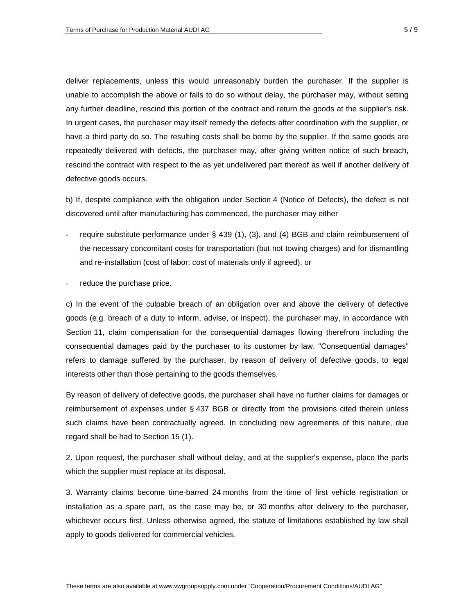deliver replacements, unless this would unreasonably burden the purchaser. If the supplier is unable to accomplish the above or fails to do so without delay, the purchaser may, without setting any further deadline, rescind this portion of the contract and return the goods at the supplier's risk. In urgent cases, the purchaser may itself remedy the defects after coordination with the supplier, or have a third party do so. The resulting costs shall be borne by the supplier. If the same goods are repeatedly delivered with defects, the purchaser may, after giving written notice of such breach, rescind the contract with respect to the as yet undelivered part thereof as well if another delivery of defective goods occurs.

b) If, despite compliance with the obligation under Section 4 (Notice of Defects), the defect is not discovered until after manufacturing has commenced, the purchaser may either

- require substitute performance under § 439 (1), (3), and (4) BGB and claim reimbursement of the necessary concomitant costs for transportation (but not towing charges) and for dismantling and re-installation (cost of labor; cost of materials only if agreed), or
- reduce the purchase price.

c) In the event of the culpable breach of an obligation over and above the delivery of defective goods (e.g. breach of a duty to inform, advise, or inspect), the purchaser may, in accordance with Section 11, claim compensation for the consequential damages flowing therefrom including the consequential damages paid by the purchaser to its customer by law. "Consequential damages" refers to damage suffered by the purchaser, by reason of delivery of defective goods, to legal interests other than those pertaining to the goods themselves.

By reason of delivery of defective goods, the purchaser shall have no further claims for damages or reimbursement of expenses under § 437 BGB or directly from the provisions cited therein unless such claims have been contractually agreed. In concluding new agreements of this nature, due regard shall be had to Section 15 (1).

2. Upon request, the purchaser shall without delay, and at the supplier's expense, place the parts which the supplier must replace at its disposal.

3. Warranty claims become time-barred 24 months from the time of first vehicle registration or installation as a spare part, as the case may be, or 30 months after delivery to the purchaser, whichever occurs first. Unless otherwise agreed, the statute of limitations established by law shall apply to goods delivered for commercial vehicles.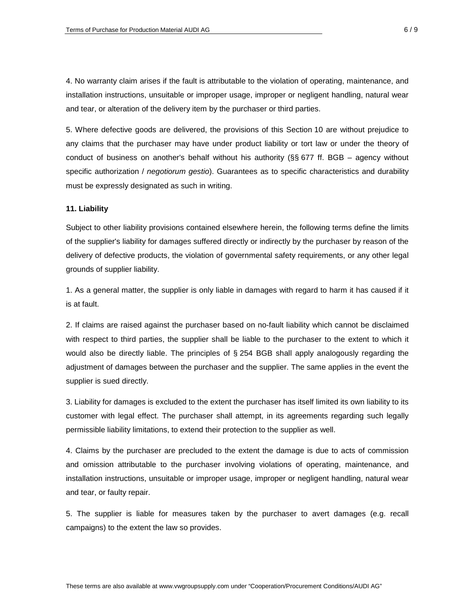4. No warranty claim arises if the fault is attributable to the violation of operating, maintenance, and installation instructions, unsuitable or improper usage, improper or negligent handling, natural wear and tear, or alteration of the delivery item by the purchaser or third parties.

5. Where defective goods are delivered, the provisions of this Section 10 are without prejudice to any claims that the purchaser may have under product liability or tort law or under the theory of conduct of business on another's behalf without his authority ( $\S$ § 677 ff. BGB – agency without specific authorization / *negotiorum gestio*). Guarantees as to specific characteristics and durability must be expressly designated as such in writing.

### **11. Liability**

Subject to other liability provisions contained elsewhere herein, the following terms define the limits of the supplier's liability for damages suffered directly or indirectly by the purchaser by reason of the delivery of defective products, the violation of governmental safety requirements, or any other legal grounds of supplier liability.

1. As a general matter, the supplier is only liable in damages with regard to harm it has caused if it is at fault.

2. If claims are raised against the purchaser based on no-fault liability which cannot be disclaimed with respect to third parties, the supplier shall be liable to the purchaser to the extent to which it would also be directly liable. The principles of § 254 BGB shall apply analogously regarding the adjustment of damages between the purchaser and the supplier. The same applies in the event the supplier is sued directly.

3. Liability for damages is excluded to the extent the purchaser has itself limited its own liability to its customer with legal effect. The purchaser shall attempt, in its agreements regarding such legally permissible liability limitations, to extend their protection to the supplier as well.

4. Claims by the purchaser are precluded to the extent the damage is due to acts of commission and omission attributable to the purchaser involving violations of operating, maintenance, and installation instructions, unsuitable or improper usage, improper or negligent handling, natural wear and tear, or faulty repair.

5. The supplier is liable for measures taken by the purchaser to avert damages (e.g. recall campaigns) to the extent the law so provides.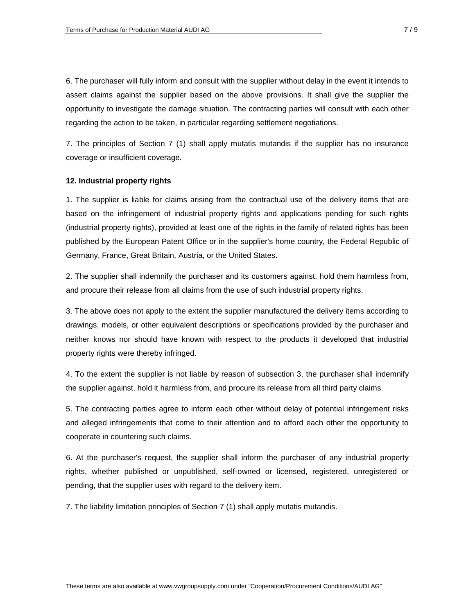6. The purchaser will fully inform and consult with the supplier without delay in the event it intends to assert claims against the supplier based on the above provisions. It shall give the supplier the opportunity to investigate the damage situation. The contracting parties will consult with each other regarding the action to be taken, in particular regarding settlement negotiations.

7. The principles of Section 7 (1) shall apply mutatis mutandis if the supplier has no insurance coverage or insufficient coverage.

### **12. Industrial property rights**

1. The supplier is liable for claims arising from the contractual use of the delivery items that are based on the infringement of industrial property rights and applications pending for such rights (industrial property rights), provided at least one of the rights in the family of related rights has been published by the European Patent Office or in the supplier's home country, the Federal Republic of Germany, France, Great Britain, Austria, or the United States.

2. The supplier shall indemnify the purchaser and its customers against, hold them harmless from, and procure their release from all claims from the use of such industrial property rights.

3. The above does not apply to the extent the supplier manufactured the delivery items according to drawings, models, or other equivalent descriptions or specifications provided by the purchaser and neither knows nor should have known with respect to the products it developed that industrial property rights were thereby infringed.

4. To the extent the supplier is not liable by reason of subsection 3, the purchaser shall indemnify the supplier against, hold it harmless from, and procure its release from all third party claims.

5. The contracting parties agree to inform each other without delay of potential infringement risks and alleged infringements that come to their attention and to afford each other the opportunity to cooperate in countering such claims.

6. At the purchaser's request, the supplier shall inform the purchaser of any industrial property rights, whether published or unpublished, self-owned or licensed, registered, unregistered or pending, that the supplier uses with regard to the delivery item.

7. The liability limitation principles of Section 7 (1) shall apply mutatis mutandis.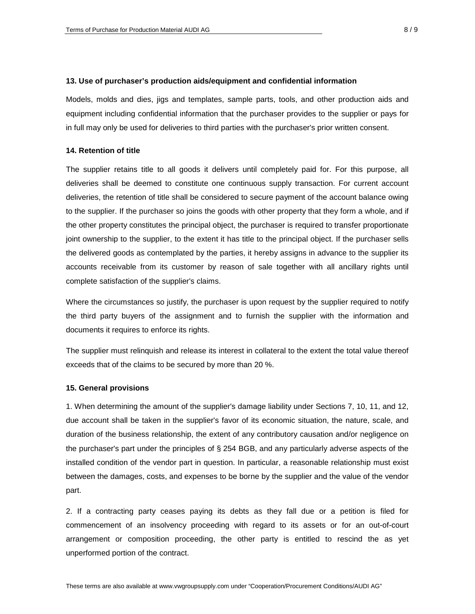### **13. Use of purchaser's production aids/equipment and confidential information**

Models, molds and dies, jigs and templates, sample parts, tools, and other production aids and equipment including confidential information that the purchaser provides to the supplier or pays for in full may only be used for deliveries to third parties with the purchaser's prior written consent.

### **14. Retention of title**

The supplier retains title to all goods it delivers until completely paid for. For this purpose, all deliveries shall be deemed to constitute one continuous supply transaction. For current account deliveries, the retention of title shall be considered to secure payment of the account balance owing to the supplier. If the purchaser so joins the goods with other property that they form a whole, and if the other property constitutes the principal object, the purchaser is required to transfer proportionate joint ownership to the supplier, to the extent it has title to the principal object. If the purchaser sells the delivered goods as contemplated by the parties, it hereby assigns in advance to the supplier its accounts receivable from its customer by reason of sale together with all ancillary rights until complete satisfaction of the supplier's claims.

Where the circumstances so justify, the purchaser is upon request by the supplier required to notify the third party buyers of the assignment and to furnish the supplier with the information and documents it requires to enforce its rights.

The supplier must relinquish and release its interest in collateral to the extent the total value thereof exceeds that of the claims to be secured by more than 20 %.

# **15. General provisions**

1. When determining the amount of the supplier's damage liability under Sections 7, 10, 11, and 12, due account shall be taken in the supplier's favor of its economic situation, the nature, scale, and duration of the business relationship, the extent of any contributory causation and/or negligence on the purchaser's part under the principles of § 254 BGB, and any particularly adverse aspects of the installed condition of the vendor part in question. In particular, a reasonable relationship must exist between the damages, costs, and expenses to be borne by the supplier and the value of the vendor part.

2. If a contracting party ceases paying its debts as they fall due or a petition is filed for commencement of an insolvency proceeding with regard to its assets or for an out-of-court arrangement or composition proceeding, the other party is entitled to rescind the as yet unperformed portion of the contract.